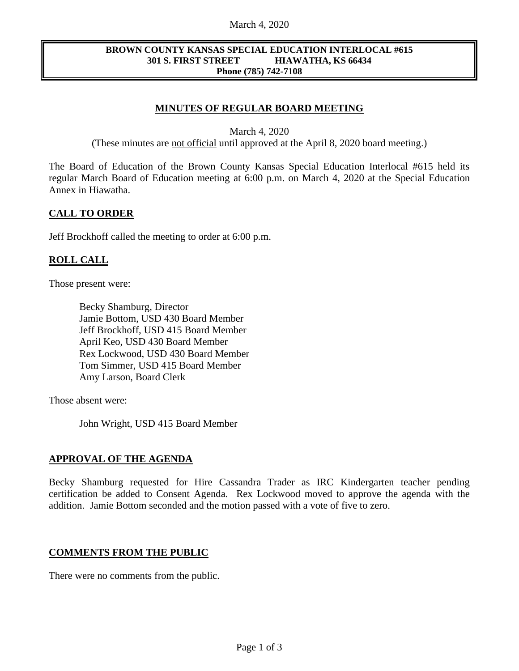#### March 4, 2020

#### **BROWN COUNTY KANSAS SPECIAL EDUCATION INTERLOCAL #615 301 S. FIRST STREET HIAWATHA, KS 66434 Phone (785) 742-7108**

# **MINUTES OF REGULAR BOARD MEETING**

March 4, 2020

(These minutes are not official until approved at the April 8, 2020 board meeting.)

The Board of Education of the Brown County Kansas Special Education Interlocal #615 held its regular March Board of Education meeting at 6:00 p.m. on March 4, 2020 at the Special Education Annex in Hiawatha.

## **CALL TO ORDER**

Jeff Brockhoff called the meeting to order at 6:00 p.m.

## **ROLL CALL**

Those present were:

Becky Shamburg, Director Jamie Bottom, USD 430 Board Member Jeff Brockhoff, USD 415 Board Member April Keo, USD 430 Board Member Rex Lockwood, USD 430 Board Member Tom Simmer, USD 415 Board Member Amy Larson, Board Clerk

Those absent were:

John Wright, USD 415 Board Member

# **APPROVAL OF THE AGENDA**

Becky Shamburg requested for Hire Cassandra Trader as IRC Kindergarten teacher pending certification be added to Consent Agenda. Rex Lockwood moved to approve the agenda with the addition. Jamie Bottom seconded and the motion passed with a vote of five to zero.

#### **COMMENTS FROM THE PUBLIC**

There were no comments from the public.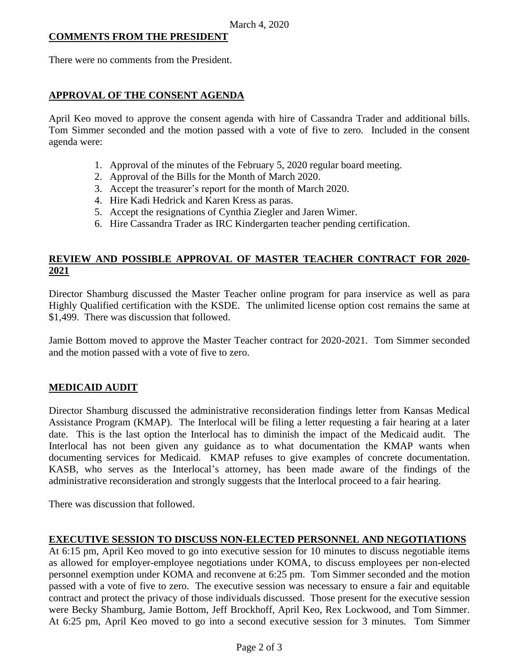# **COMMENTS FROM THE PRESIDENT**

There were no comments from the President.

# **APPROVAL OF THE CONSENT AGENDA**

April Keo moved to approve the consent agenda with hire of Cassandra Trader and additional bills. Tom Simmer seconded and the motion passed with a vote of five to zero. Included in the consent agenda were:

- 1. Approval of the minutes of the February 5, 2020 regular board meeting.
- 2. Approval of the Bills for the Month of March 2020.
- 3. Accept the treasurer's report for the month of March 2020.
- 4. Hire Kadi Hedrick and Karen Kress as paras.
- 5. Accept the resignations of Cynthia Ziegler and Jaren Wimer.
- 6. Hire Cassandra Trader as IRC Kindergarten teacher pending certification.

# **REVIEW AND POSSIBLE APPROVAL OF MASTER TEACHER CONTRACT FOR 2020- 2021**

Director Shamburg discussed the Master Teacher online program for para inservice as well as para Highly Qualified certification with the KSDE. The unlimited license option cost remains the same at \$1,499. There was discussion that followed.

Jamie Bottom moved to approve the Master Teacher contract for 2020-2021. Tom Simmer seconded and the motion passed with a vote of five to zero.

# **MEDICAID AUDIT**

Director Shamburg discussed the administrative reconsideration findings letter from Kansas Medical Assistance Program (KMAP). The Interlocal will be filing a letter requesting a fair hearing at a later date. This is the last option the Interlocal has to diminish the impact of the Medicaid audit. The Interlocal has not been given any guidance as to what documentation the KMAP wants when documenting services for Medicaid. KMAP refuses to give examples of concrete documentation. KASB, who serves as the Interlocal's attorney, has been made aware of the findings of the administrative reconsideration and strongly suggests that the Interlocal proceed to a fair hearing.

There was discussion that followed.

#### **EXECUTIVE SESSION TO DISCUSS NON-ELECTED PERSONNEL AND NEGOTIATIONS**

At 6:15 pm, April Keo moved to go into executive session for 10 minutes to discuss negotiable items as allowed for employer-employee negotiations under KOMA, to discuss employees per non-elected personnel exemption under KOMA and reconvene at 6:25 pm. Tom Simmer seconded and the motion passed with a vote of five to zero. The executive session was necessary to ensure a fair and equitable contract and protect the privacy of those individuals discussed. Those present for the executive session were Becky Shamburg, Jamie Bottom, Jeff Brockhoff, April Keo, Rex Lockwood, and Tom Simmer. At 6:25 pm, April Keo moved to go into a second executive session for 3 minutes. Tom Simmer